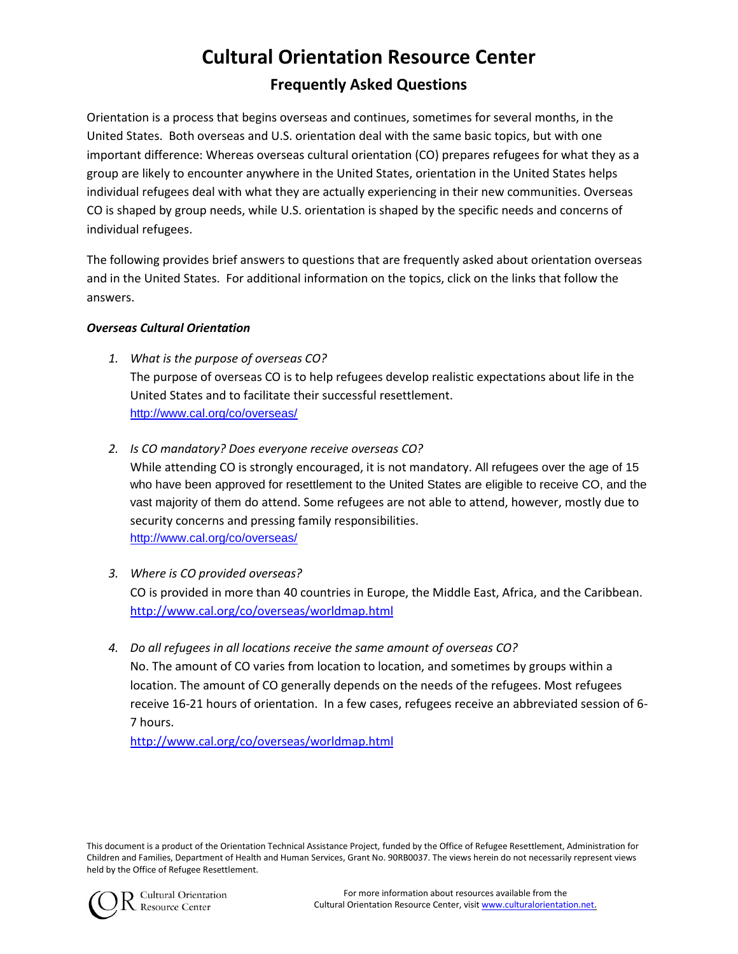# **Cultural Orientation Resource Center Frequently Asked Questions**

Orientation is a process that begins overseas and continues, sometimes for several months, in the United States. Both overseas and U.S. orientation deal with the same basic topics, but with one important difference: Whereas overseas cultural orientation (CO) prepares refugees for what they as a group are likely to encounter anywhere in the United States, orientation in the United States helps individual refugees deal with what they are actually experiencing in their new communities. Overseas CO is shaped by group needs, while U.S. orientation is shaped by the specific needs and concerns of individual refugees.

The following provides brief answers to questions that are frequently asked about orientation overseas and in the United States. For additional information on the topics, click on the links that follow the answers.

## *Overseas Cultural Orientation*

- *1. What is the purpose of overseas CO?* The purpose of overseas CO is to help refugees develop realistic expectations about life in the United States and to facilitate their successful resettlement. <http://www.cal.org/co/overseas/>
- *2. Is CO mandatory? Does everyone receive overseas CO?* While attending CO is strongly encouraged, it is not mandatory. All refugees over the age of 15 who have been approved for resettlement to the United States are eligible to receive CO, and the vast majority of them do attend. Some refugees are not able to attend, however, mostly due to security concerns and pressing family responsibilities. <http://www.cal.org/co/overseas/>
- *3. Where is CO provided overseas?* CO is provided in more than 40 countries in Europe, the Middle East, Africa, and the Caribbean. <http://www.cal.org/co/overseas/worldmap.html>
- *4. Do all refugees in all locations receive the same amount of overseas CO?*  No. The amount of CO varies from location to location, and sometimes by groups within a location. The amount of CO generally depends on the needs of the refugees. Most refugees receive 16-21 hours of orientation. In a few cases, refugees receive an abbreviated session of 6- 7 hours.

<http://www.cal.org/co/overseas/worldmap.html>

This document is a product of the Orientation Technical Assistance Project, funded by the Office of Refugee Resettlement, Administration for Children and Families, Department of Health and Human Services, Grant No. 90RB0037. The views herein do not necessarily represent views held by the Office of Refugee Resettlement.



Cultural Orientation **Resource Center**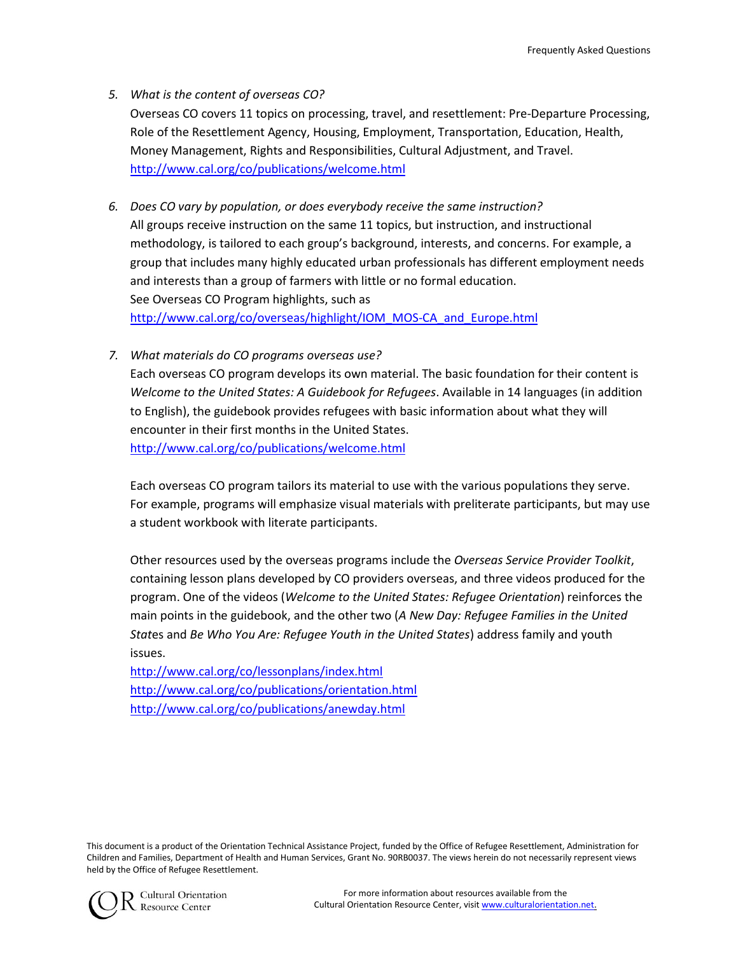### *5. What is the content of overseas CO?*

Overseas CO covers 11 topics on processing, travel, and resettlement: Pre-Departure Processing, Role of the Resettlement Agency, Housing, Employment, Transportation, Education, Health, Money Management, Rights and Responsibilities, Cultural Adjustment, and Travel. <http://www.cal.org/co/publications/welcome.html>

- *6. Does CO vary by population, or does everybody receive the same instruction?* All groups receive instruction on the same 11 topics, but instruction, and instructional methodology, is tailored to each group's background, interests, and concerns. For example, a group that includes many highly educated urban professionals has different employment needs and interests than a group of farmers with little or no formal education. See Overseas CO Program highlights, such as [http://www.cal.org/co/overseas/highlight/IOM\\_MOS-CA\\_and\\_Europe.html](http://www.cal.org/co/overseas/highlight/IOM_MOS-CA_and_Europe.html)
- *7. What materials do CO programs overseas use?*

Each overseas CO program develops its own material. The basic foundation for their content is *Welcome to the United States: A Guidebook for Refugees*. Available in 14 languages (in addition to English), the guidebook provides refugees with basic information about what they will encounter in their first months in the United States.

<http://www.cal.org/co/publications/welcome.html>

Each overseas CO program tailors its material to use with the various populations they serve. For example, programs will emphasize visual materials with preliterate participants, but may use a student workbook with literate participants.

Other resources used by the overseas programs include the *Overseas Service Provider Toolkit*, containing lesson plans developed by CO providers overseas, and three videos produced for the program. One of the videos (*Welcome to the United States: Refugee Orientation*) reinforces the main points in the guidebook, and the other two (*A New Day: Refugee Families in the United Stat*es and *Be Who You Are: Refugee Youth in the United States*) address family and youth issues.

<http://www.cal.org/co/lessonplans/index.html> <http://www.cal.org/co/publications/orientation.html> <http://www.cal.org/co/publications/anewday.html>

This document is a product of the Orientation Technical Assistance Project, funded by the Office of Refugee Resettlement, Administration for Children and Families, Department of Health and Human Services, Grant No. 90RB0037. The views herein do not necessarily represent views held by the Office of Refugee Resettlement.



**O** Cultural Orientation Resource Center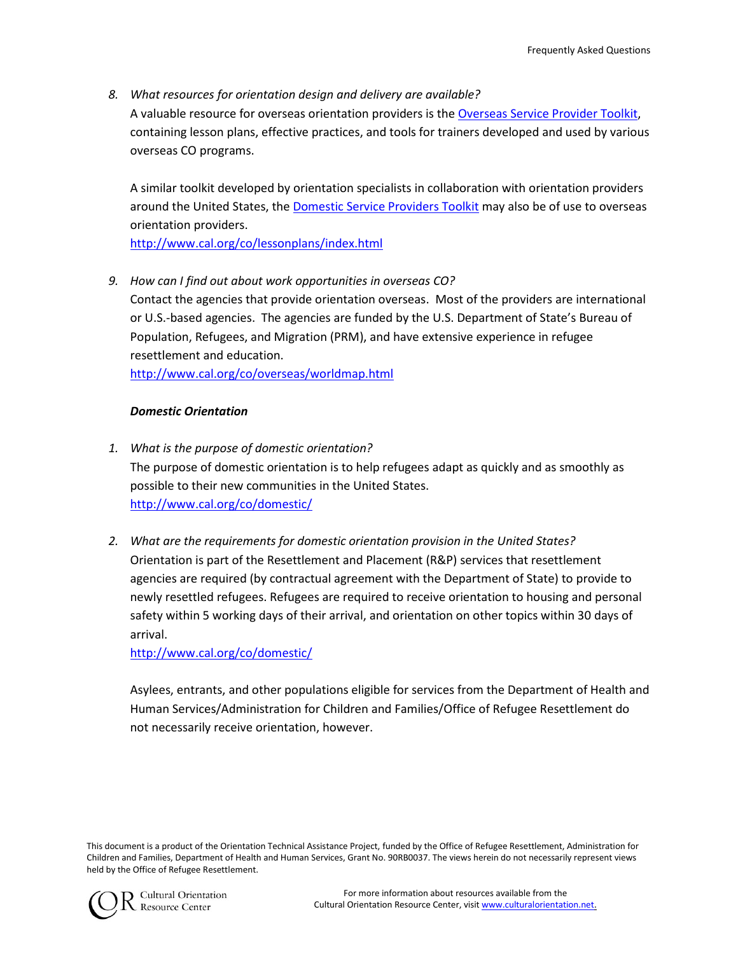*8. What resources for orientation design and delivery are available?* A valuable resource for overseas orientation providers is the [Overseas Service Provider Toolkit,](http://www.cal.org/co/overseas/toolkit/index.html) containing lesson plans, effective practices, and tools for trainers developed and used by various overseas CO programs.

A similar toolkit developed by orientation specialists in collaboration with orientation providers around the United States, the [Domestic Service Providers Toolkit](http://www.cal.org/co/domestic/index.html) may also be of use to overseas orientation providers.

<http://www.cal.org/co/lessonplans/index.html>

*9. How can I find out about work opportunities in overseas CO?*

Contact the agencies that provide orientation overseas. Most of the providers are international or U.S.-based agencies. The agencies are funded by the U.S. Department of State's Bureau of Population, Refugees, and Migration (PRM), and have extensive experience in refugee resettlement and education.

<http://www.cal.org/co/overseas/worldmap.html>

#### *Domestic Orientation*

- *1. What is the purpose of domestic orientation?* The purpose of domestic orientation is to help refugees adapt as quickly and as smoothly as possible to their new communities in the United States. <http://www.cal.org/co/domestic/>
- *2. What are the requirements for domestic orientation provision in the United States?* Orientation is part of the Resettlement and Placement (R&P) services that resettlement agencies are required (by contractual agreement with the Department of State) to provide to newly resettled refugees. Refugees are required to receive orientation to housing and personal safety within 5 working days of their arrival, and orientation on other topics within 30 days of arrival.

<http://www.cal.org/co/domestic/>

Asylees, entrants, and other populations eligible for services from the Department of Health and Human Services/Administration for Children and Families/Office of Refugee Resettlement do not necessarily receive orientation, however.

This document is a product of the Orientation Technical Assistance Project, funded by the Office of Refugee Resettlement, Administration for Children and Families, Department of Health and Human Services, Grant No. 90RB0037. The views herein do not necessarily represent views held by the Office of Refugee Resettlement.



Cultural Orientation Resource Center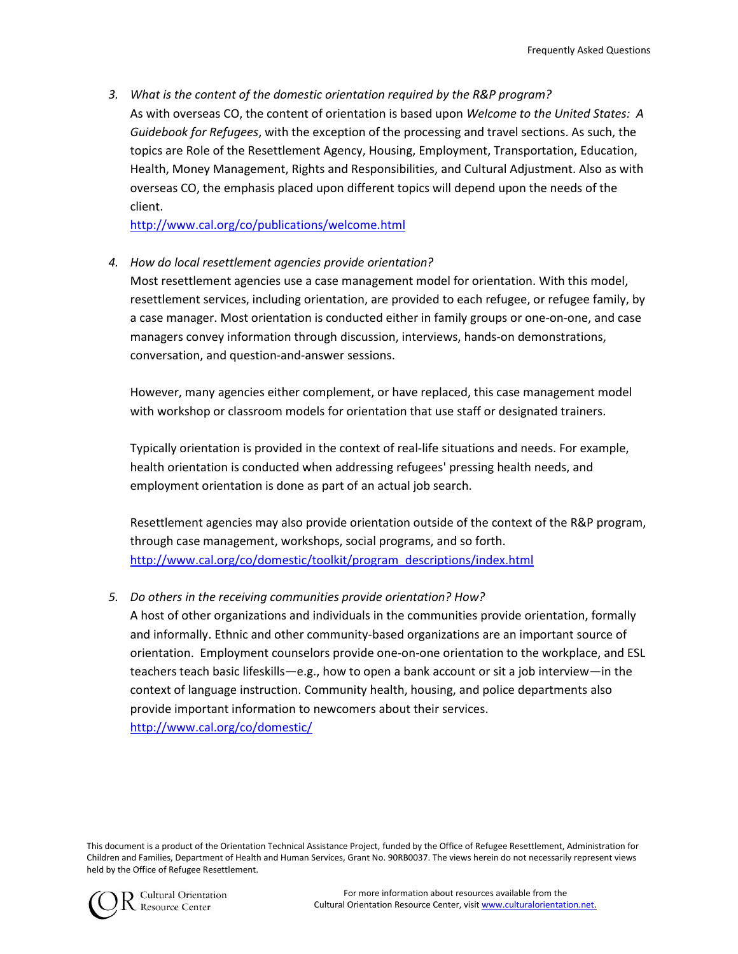*3. What is the content of the domestic orientation required by the R&P program?* As with overseas CO, the content of orientation is based upon *Welcome to the United States: A Guidebook for Refugees*, with the exception of the processing and travel sections. As such, the topics are Role of the Resettlement Agency, Housing, Employment, Transportation, Education, Health, Money Management, Rights and Responsibilities, and Cultural Adjustment. Also as with overseas CO, the emphasis placed upon different topics will depend upon the needs of the client.

<http://www.cal.org/co/publications/welcome.html>

*4. How do local resettlement agencies provide orientation?*

Most resettlement agencies use a case management model for orientation. With this model, resettlement services, including orientation, are provided to each refugee, or refugee family, by a case manager. Most orientation is conducted either in family groups or one-on-one, and case managers convey information through discussion, interviews, hands-on demonstrations, conversation, and question-and-answer sessions.

However, many agencies either complement, or have replaced, this case management model with workshop or classroom models for orientation that use staff or designated trainers.

Typically orientation is provided in the context of real-life situations and needs. For example, health orientation is conducted when addressing refugees' pressing health needs, and employment orientation is done as part of an actual job search.

Resettlement agencies may also provide orientation outside of the context of the R&P program, through case management, workshops, social programs, and so forth. [http://www.cal.org/co/domestic/toolkit/program\\_descriptions/index.html](http://www.cal.org/co/domestic/toolkit/program_descriptions/index.html)

### *5. Do others in the receiving communities provide orientation? How?*

A host of other organizations and individuals in the communities provide orientation, formally and informally. Ethnic and other community-based organizations are an important source of orientation. Employment counselors provide one-on-one orientation to the workplace, and ESL teachers teach basic lifeskills—e.g., how to open a bank account or sit a job interview—in the context of language instruction. Community health, housing, and police departments also provide important information to newcomers about their services.

<http://www.cal.org/co/domestic/>

This document is a product of the Orientation Technical Assistance Project, funded by the Office of Refugee Resettlement, Administration for Children and Families, Department of Health and Human Services, Grant No. 90RB0037. The views herein do not necessarily represent views held by the Office of Refugee Resettlement.



**O** Cultural Orientation **Resource Center**